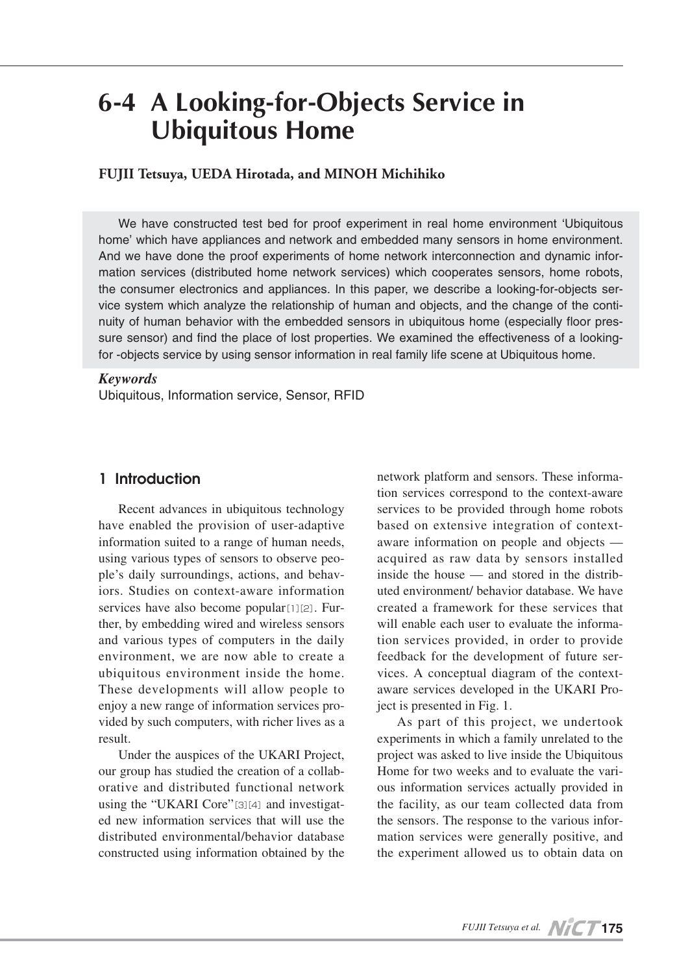# **6-4 A Looking-for-Objects Service in Ubiquitous Home**

**FUJII Tetsuya, UEDA Hirotada, and MINOH Michihiko**

We have constructed test bed for proof experiment in real home environment 'Ubiquitous home' which have appliances and network and embedded many sensors in home environment. And we have done the proof experiments of home network interconnection and dynamic information services (distributed home network services) which cooperates sensors, home robots, the consumer electronics and appliances. In this paper, we describe a looking-for-objects service system which analyze the relationship of human and objects, and the change of the continuity of human behavior with the embedded sensors in ubiquitous home (especially floor pressure sensor) and find the place of lost properties. We examined the effectiveness of a lookingfor -objects service by using sensor information in real family life scene at Ubiquitous home.

### *Keywords*

Ubiquitous, Information service, Sensor, RFID

## **1 Introduction**

Recent advances in ubiquitous technology have enabled the provision of user-adaptive information suited to a range of human needs, using various types of sensors to observe people's daily surroundings, actions, and behaviors. Studies on context-aware information services have also become popular[1][2]. Further, by embedding wired and wireless sensors and various types of computers in the daily environment, we are now able to create a ubiquitous environment inside the home. These developments will allow people to enjoy a new range of information services provided by such computers, with richer lives as a result.

Under the auspices of the UKARI Project, our group has studied the creation of a collaborative and distributed functional network using the "UKARI Core"[3][4] and investigated new information services that will use the distributed environmental/behavior database constructed using information obtained by the

network platform and sensors. These information services correspond to the context-aware services to be provided through home robots based on extensive integration of contextaware information on people and objects acquired as raw data by sensors installed inside the house — and stored in the distributed environment/ behavior database. We have created a framework for these services that will enable each user to evaluate the information services provided, in order to provide feedback for the development of future services. A conceptual diagram of the contextaware services developed in the UKARI Project is presented in Fig. 1.

As part of this project, we undertook experiments in which a family unrelated to the project was asked to live inside the Ubiquitous Home for two weeks and to evaluate the various information services actually provided in the facility, as our team collected data from the sensors. The response to the various information services were generally positive, and the experiment allowed us to obtain data on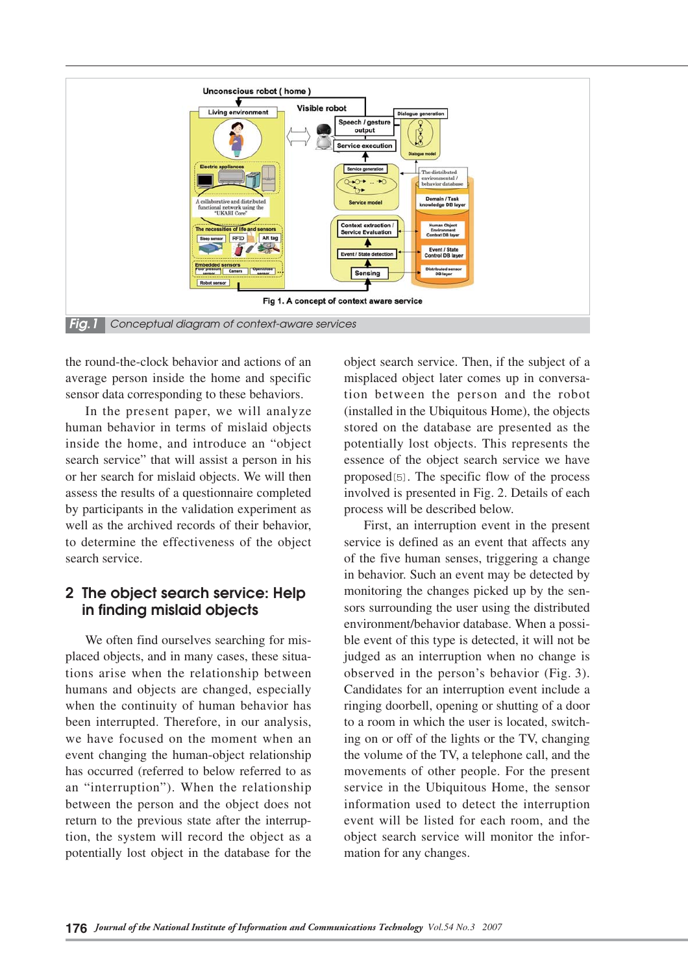

the round-the-clock behavior and actions of an average person inside the home and specific sensor data corresponding to these behaviors.

In the present paper, we will analyze human behavior in terms of mislaid objects inside the home, and introduce an "object search service" that will assist a person in his or her search for mislaid objects. We will then assess the results of a questionnaire completed by participants in the validation experiment as well as the archived records of their behavior, to determine the effectiveness of the object search service.

# **2 The object search service: Help in finding mislaid objects**

We often find ourselves searching for misplaced objects, and in many cases, these situations arise when the relationship between humans and objects are changed, especially when the continuity of human behavior has been interrupted. Therefore, in our analysis, we have focused on the moment when an event changing the human-object relationship has occurred (referred to below referred to as an "interruption"). When the relationship between the person and the object does not return to the previous state after the interruption, the system will record the object as a potentially lost object in the database for the

object search service. Then, if the subject of a misplaced object later comes up in conversation between the person and the robot (installed in the Ubiquitous Home), the objects stored on the database are presented as the potentially lost objects. This represents the essence of the object search service we have proposed[5]. The specific flow of the process involved is presented in Fig. 2. Details of each process will be described below.

First, an interruption event in the present service is defined as an event that affects any of the five human senses, triggering a change in behavior. Such an event may be detected by monitoring the changes picked up by the sensors surrounding the user using the distributed environment/behavior database. When a possible event of this type is detected, it will not be judged as an interruption when no change is observed in the person's behavior (Fig. 3). Candidates for an interruption event include a ringing doorbell, opening or shutting of a door to a room in which the user is located, switching on or off of the lights or the TV, changing the volume of the TV, a telephone call, and the movements of other people. For the present service in the Ubiquitous Home, the sensor information used to detect the interruption event will be listed for each room, and the object search service will monitor the information for any changes.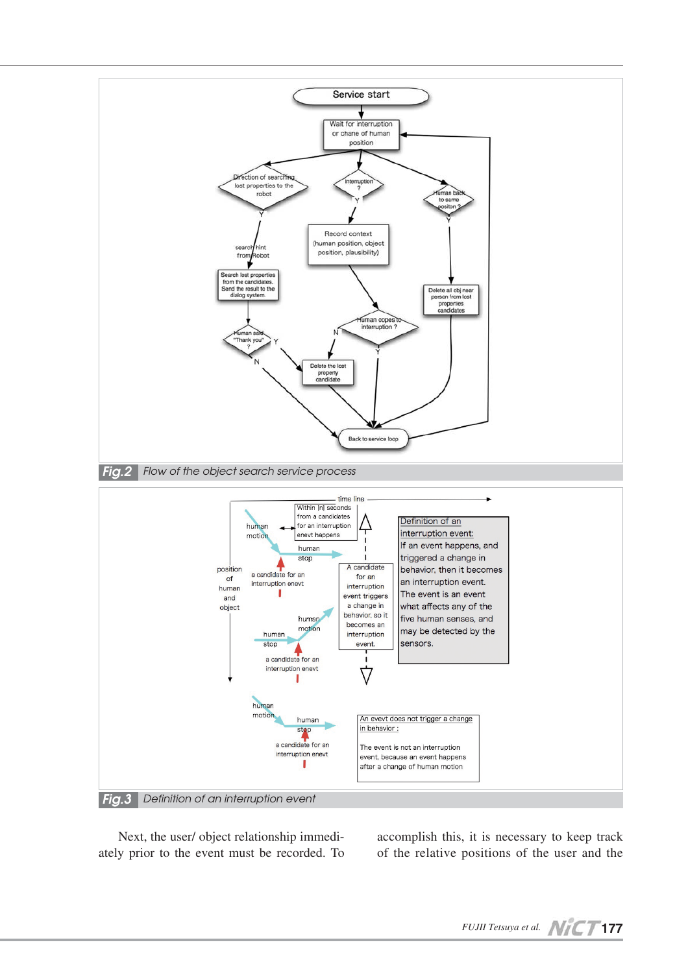

Next, the user/ object relationship immediately prior to the event must be recorded. To accomplish this, it is necessary to keep track of the relative positions of the user and the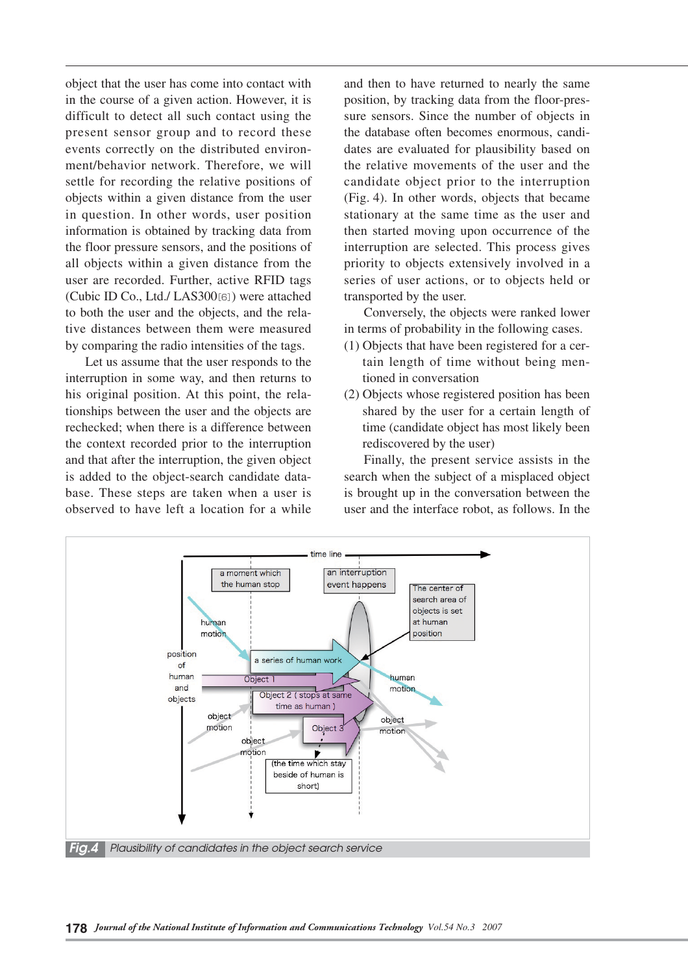object that the user has come into contact with in the course of a given action. However, it is difficult to detect all such contact using the present sensor group and to record these events correctly on the distributed environment/behavior network. Therefore, we will settle for recording the relative positions of objects within a given distance from the user in question. In other words, user position information is obtained by tracking data from the floor pressure sensors, and the positions of all objects within a given distance from the user are recorded. Further, active RFID tags (Cubic ID Co., Ltd./ LAS300[6]) were attached to both the user and the objects, and the relative distances between them were measured by comparing the radio intensities of the tags.

Let us assume that the user responds to the interruption in some way, and then returns to his original position. At this point, the relationships between the user and the objects are rechecked; when there is a difference between the context recorded prior to the interruption and that after the interruption, the given object is added to the object-search candidate database. These steps are taken when a user is observed to have left a location for a while

and then to have returned to nearly the same position, by tracking data from the floor-pressure sensors. Since the number of objects in the database often becomes enormous, candidates are evaluated for plausibility based on the relative movements of the user and the candidate object prior to the interruption (Fig. 4). In other words, objects that became stationary at the same time as the user and then started moving upon occurrence of the interruption are selected. This process gives priority to objects extensively involved in a series of user actions, or to objects held or transported by the user.

Conversely, the objects were ranked lower in terms of probability in the following cases.

- (1) Objects that have been registered for a certain length of time without being mentioned in conversation
- (2) Objects whose registered position has been shared by the user for a certain length of time (candidate object has most likely been rediscovered by the user)

Finally, the present service assists in the search when the subject of a misplaced object is brought up in the conversation between the user and the interface robot, as follows. In the

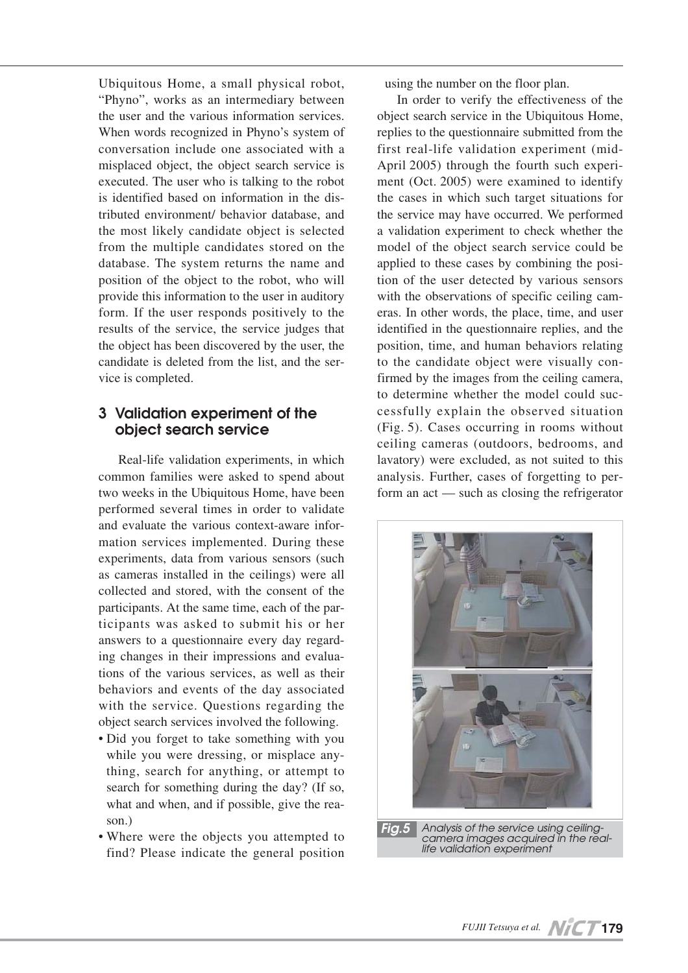Ubiquitous Home, a small physical robot, "Phyno", works as an intermediary between the user and the various information services. When words recognized in Phyno's system of conversation include one associated with a misplaced object, the object search service is executed. The user who is talking to the robot is identified based on information in the distributed environment/ behavior database, and the most likely candidate object is selected from the multiple candidates stored on the database. The system returns the name and position of the object to the robot, who will provide this information to the user in auditory form. If the user responds positively to the results of the service, the service judges that the object has been discovered by the user, the candidate is deleted from the list, and the service is completed.

# **3 Validation experiment of the object search service**

Real-life validation experiments, in which common families were asked to spend about two weeks in the Ubiquitous Home, have been performed several times in order to validate and evaluate the various context-aware information services implemented. During these experiments, data from various sensors (such as cameras installed in the ceilings) were all collected and stored, with the consent of the participants. At the same time, each of the participants was asked to submit his or her answers to a questionnaire every day regarding changes in their impressions and evaluations of the various services, as well as their behaviors and events of the day associated with the service. Questions regarding the object search services involved the following.

- Did you forget to take something with you while you were dressing, or misplace anything, search for anything, or attempt to search for something during the day? (If so, what and when, and if possible, give the reason.)
- Where were the objects you attempted to find? Please indicate the general position

using the number on the floor plan.

In order to verify the effectiveness of the object search service in the Ubiquitous Home, replies to the questionnaire submitted from the first real-life validation experiment (mid-April 2005) through the fourth such experiment (Oct. 2005) were examined to identify the cases in which such target situations for the service may have occurred. We performed a validation experiment to check whether the model of the object search service could be applied to these cases by combining the position of the user detected by various sensors with the observations of specific ceiling cameras. In other words, the place, time, and user identified in the questionnaire replies, and the position, time, and human behaviors relating to the candidate object were visually confirmed by the images from the ceiling camera, to determine whether the model could successfully explain the observed situation (Fig. 5). Cases occurring in rooms without ceiling cameras (outdoors, bedrooms, and lavatory) were excluded, as not suited to this analysis. Further, cases of forgetting to perform an act — such as closing the refrigerator

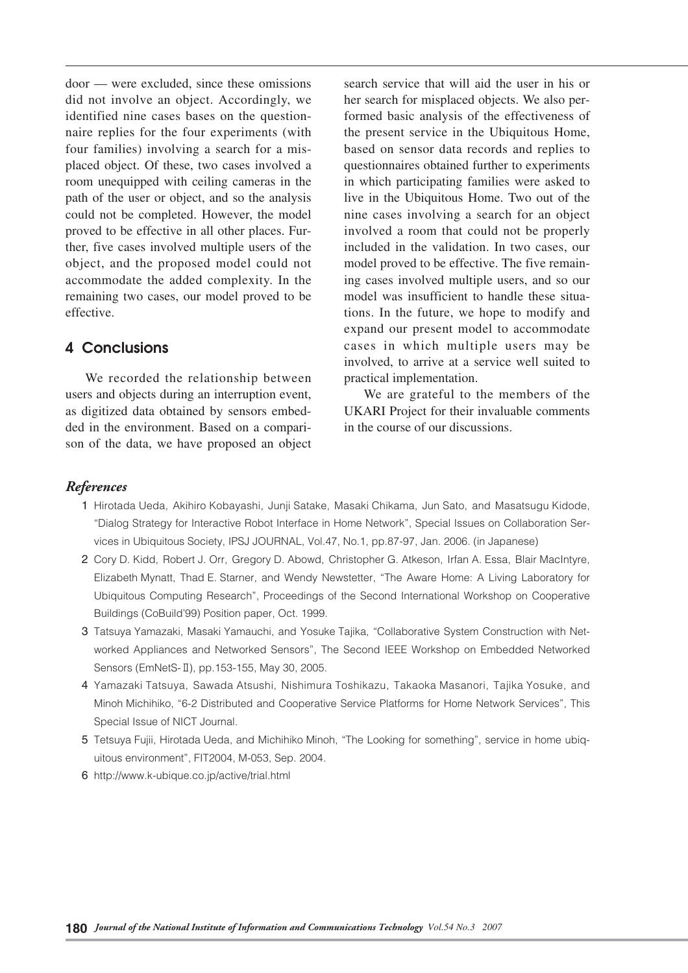door — were excluded, since these omissions did not involve an object. Accordingly, we identified nine cases bases on the questionnaire replies for the four experiments (with four families) involving a search for a misplaced object. Of these, two cases involved a room unequipped with ceiling cameras in the path of the user or object, and so the analysis could not be completed. However, the model proved to be effective in all other places. Further, five cases involved multiple users of the object, and the proposed model could not accommodate the added complexity. In the remaining two cases, our model proved to be effective.

## **4 Conclusions**

We recorded the relationship between users and objects during an interruption event, as digitized data obtained by sensors embedded in the environment. Based on a comparison of the data, we have proposed an object search service that will aid the user in his or her search for misplaced objects. We also performed basic analysis of the effectiveness of the present service in the Ubiquitous Home, based on sensor data records and replies to questionnaires obtained further to experiments in which participating families were asked to live in the Ubiquitous Home. Two out of the nine cases involving a search for an object involved a room that could not be properly included in the validation. In two cases, our model proved to be effective. The five remaining cases involved multiple users, and so our model was insufficient to handle these situations. In the future, we hope to modify and expand our present model to accommodate cases in which multiple users may be involved, to arrive at a service well suited to practical implementation.

We are grateful to the members of the UKARI Project for their invaluable comments in the course of our discussions.

## *References*

- 01 Hirotada Ueda, Akihiro Kobayashi, Junji Satake, Masaki Chikama, Jun Sato, and Masatsugu Kidode, "Dialog Strategy for Interactive Robot Interface in Home Network", Special Issues on Collaboration Services in Ubiquitous Society, IPSJ JOURNAL, Vol.47, No.1, pp.87-97, Jan. 2006. (in Japanese)
- 2 Cory D. Kidd, Robert J. Orr, Gregory D. Abowd, Christopher G. Atkeson, Irfan A. Essa, Blair MacIntyre, Elizabeth Mynatt, Thad E. Starner, and Wendy Newstetter, "The Aware Home: A Living Laboratory for Ubiquitous Computing Research", Proceedings of the Second International Workshop on Cooperative Buildings (CoBuild'99) Position paper, Oct. 1999.
- 3 Tatsuya Yamazaki, Masaki Yamauchi, and Yosuke Tajika, "Collaborative System Construction with Networked Appliances and Networked Sensors", The Second IEEE Workshop on Embedded Networked Sensors (EmNetS-Ⅱ), pp.153-155, May 30, 2005.
- 04 Yamazaki Tatsuya, Sawada Atsushi, Nishimura Toshikazu, Takaoka Masanori, Tajika Yosuke, and Minoh Michihiko, "6-2 Distributed and Cooperative Service Platforms for Home Network Services", This Special Issue of NICT Journal.
- 05 Tetsuya Fujii, Hirotada Ueda, and Michihiko Minoh, "The Looking for something", service in home ubiquitous environment", FIT2004, M-053, Sep. 2004.
- 06 http://www.k-ubique.co.jp/active/trial.html